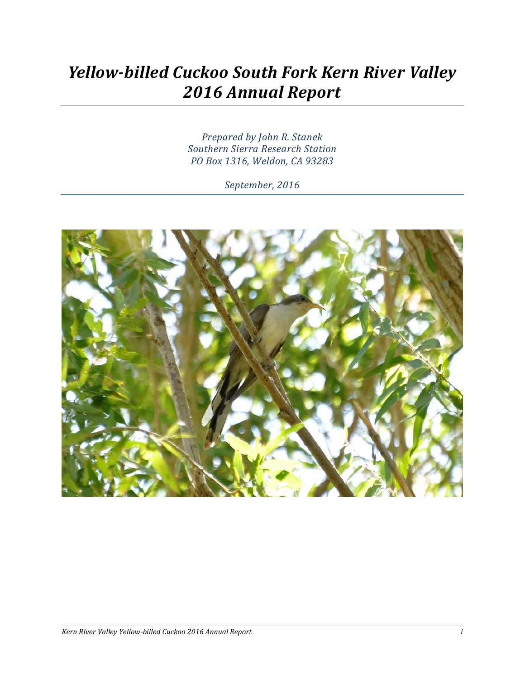# *Yellow-billed Cuckoo South Fork Kern River Valley 2016 Annual Report*

*Prepared by John R. Stanek Southern Sierra Research Station PO Box 1316, Weldon, CA 93283*

*September, 2016*

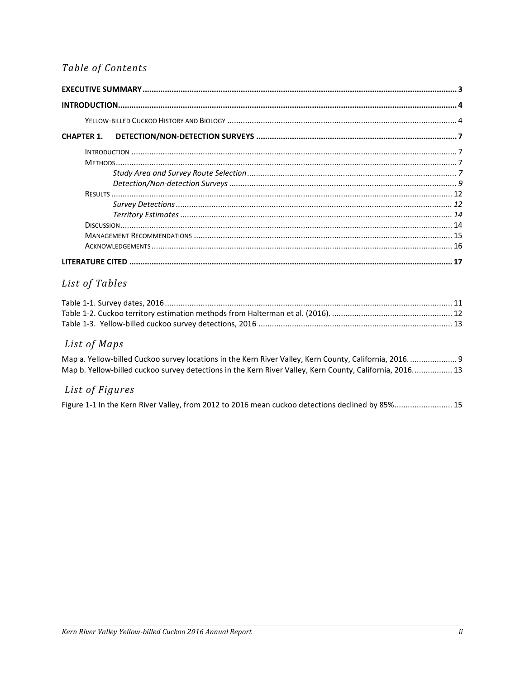### Table of Contents

#### List of Tables

#### List of Maps

| Map a. Yellow-billed Cuckoo survey locations in the Kern River Valley, Kern County, California, 2016.  9 |  |  |
|----------------------------------------------------------------------------------------------------------|--|--|
| Map b. Yellow-billed cuckoo survey detections in the Kern River Valley, Kern County, California, 2016 13 |  |  |

#### List of Figures

Figure 1-1 In the Kern River Valley, from 2012 to 2016 mean cuckoo detections declined by 85%........................ 15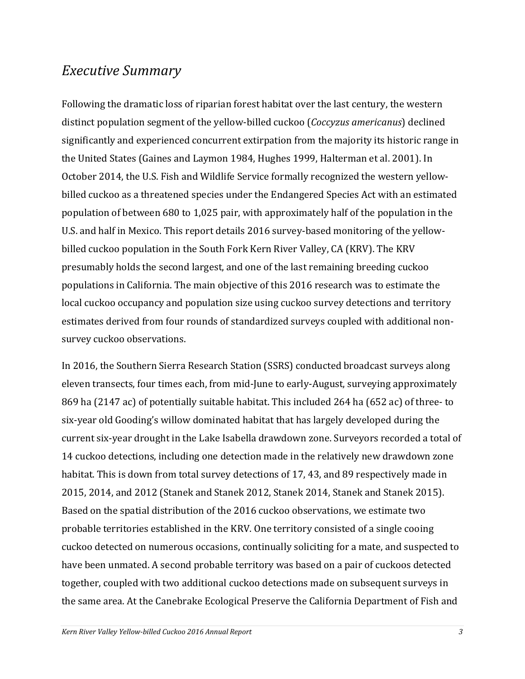### <span id="page-2-0"></span>*Executive Summary*

Following the dramatic loss of riparian forest habitat over the last century, the western distinct population segment of the yellow-billed cuckoo (*Coccyzus americanus*) declined significantly and experienced concurrent extirpation from the majority its historic range in the United States (Gaines and Laymon 1984, Hughes 1999, Halterman et al. 2001). In October 2014, the U.S. Fish and Wildlife Service formally recognized the western yellowbilled cuckoo as a threatened species under the Endangered Species Act with an estimated population of between 680 to 1,025 pair, with approximately half of the population in the U.S. and half in Mexico. This report details 2016 survey-based monitoring of the yellowbilled cuckoo population in the South Fork Kern River Valley, CA (KRV). The KRV presumably holds the second largest, and one of the last remaining breeding cuckoo populations in California. The main objective of this 2016 research was to estimate the local cuckoo occupancy and population size using cuckoo survey detections and territory estimates derived from four rounds of standardized surveys coupled with additional nonsurvey cuckoo observations.

In 2016, the Southern Sierra Research Station (SSRS) conducted broadcast surveys along eleven transects, four times each, from mid-June to early-August, surveying approximately 869 ha (2147 ac) of potentially suitable habitat. This included 264 ha (652 ac) of three- to six-year old Gooding's willow dominated habitat that has largely developed during the current six-year drought in the Lake Isabella drawdown zone. Surveyors recorded a total of 14 cuckoo detections, including one detection made in the relatively new drawdown zone habitat. This is down from total survey detections of 17, 43, and 89 respectively made in 2015, 2014, and 2012 (Stanek and Stanek 2012, Stanek 2014, Stanek and Stanek 2015). Based on the spatial distribution of the 2016 cuckoo observations, we estimate two probable territories established in the KRV. One territory consisted of a single cooing cuckoo detected on numerous occasions, continually soliciting for a mate, and suspected to have been unmated. A second probable territory was based on a pair of cuckoos detected together, coupled with two additional cuckoo detections made on subsequent surveys in the same area. At the Canebrake Ecological Preserve the California Department of Fish and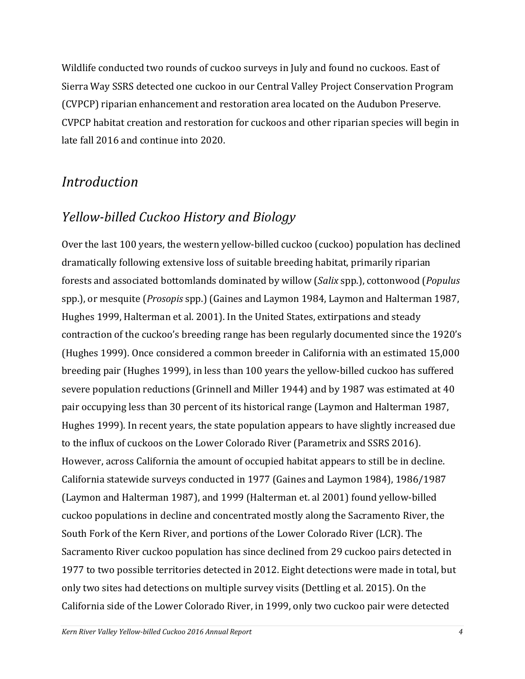Wildlife conducted two rounds of cuckoo surveys in July and found no cuckoos. East of Sierra Way SSRS detected one cuckoo in our Central Valley Project Conservation Program (CVPCP) riparian enhancement and restoration area located on the Audubon Preserve. CVPCP habitat creation and restoration for cuckoos and other riparian species will begin in late fall 2016 and continue into 2020.

# <span id="page-3-0"></span>*Introduction*

# <span id="page-3-1"></span>*Yellow-billed Cuckoo History and Biology*

Over the last 100 years, the western yellow-billed cuckoo (cuckoo) population has declined dramatically following extensive loss of suitable breeding habitat, primarily riparian forests and associated bottomlands dominated by willow (*Salix* spp.), cottonwood (*Populus* spp.), or mesquite (*Prosopis* spp.) (Gaines and Laymon 1984, Laymon and Halterman 1987, Hughes 1999, Halterman et al. 2001). In the United States, extirpations and steady contraction of the cuckoo's breeding range has been regularly documented since the 1920's (Hughes 1999). Once considered a common breeder in California with an estimated 15,000 breeding pair (Hughes 1999), in less than 100 years the yellow-billed cuckoo has suffered severe population reductions (Grinnell and Miller 1944) and by 1987 was estimated at 40 pair occupying less than 30 percent of its historical range (Laymon and Halterman 1987, Hughes 1999). In recent years, the state population appears to have slightly increased due to the influx of cuckoos on the Lower Colorado River (Parametrix and SSRS 2016). However, across California the amount of occupied habitat appears to still be in decline. California statewide surveys conducted in 1977 (Gaines and Laymon 1984), 1986/1987 (Laymon and Halterman 1987), and 1999 (Halterman et. al 2001) found yellow-billed cuckoo populations in decline and concentrated mostly along the Sacramento River, the South Fork of the Kern River, and portions of the Lower Colorado River (LCR). The Sacramento River cuckoo population has since declined from 29 cuckoo pairs detected in 1977 to two possible territories detected in 2012. Eight detections were made in total, but only two sites had detections on multiple survey visits (Dettling et al. 2015). On the California side of the Lower Colorado River, in 1999, only two cuckoo pair were detected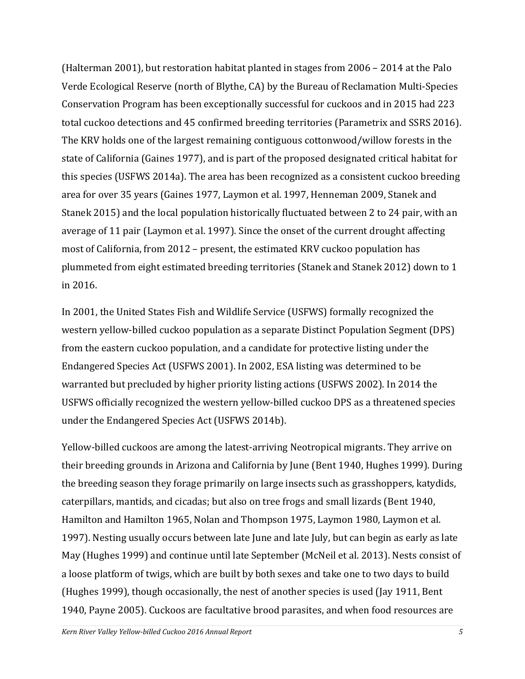(Halterman 2001), but restoration habitat planted in stages from 2006 – 2014 at the Palo Verde Ecological Reserve (north of Blythe, CA) by the Bureau of Reclamation Multi-Species Conservation Program has been exceptionally successful for cuckoos and in 2015 had 223 total cuckoo detections and 45 confirmed breeding territories (Parametrix and SSRS 2016). The KRV holds one of the largest remaining contiguous cottonwood/willow forests in the state of California (Gaines 1977), and is part of the proposed designated critical habitat for this species (USFWS 2014a). The area has been recognized as a consistent cuckoo breeding area for over 35 years (Gaines 1977, Laymon et al. 1997, Henneman 2009, Stanek and Stanek 2015) and the local population historically fluctuated between 2 to 24 pair, with an average of 11 pair (Laymon et al. 1997). Since the onset of the current drought affecting most of California, from 2012 – present, the estimated KRV cuckoo population has plummeted from eight estimated breeding territories (Stanek and Stanek 2012) down to 1 in 2016.

In 2001, the United States Fish and Wildlife Service (USFWS) formally recognized the western yellow-billed cuckoo population as a separate Distinct Population Segment (DPS) from the eastern cuckoo population, and a candidate for protective listing under the Endangered Species Act (USFWS 2001). In 2002, ESA listing was determined to be warranted but precluded by higher priority listing actions (USFWS 2002). In 2014 the USFWS officially recognized the western yellow-billed cuckoo DPS as a threatened species under the Endangered Species Act (USFWS 2014b).

Yellow-billed cuckoos are among the latest-arriving Neotropical migrants. They arrive on their breeding grounds in Arizona and California by June (Bent 1940, Hughes 1999). During the breeding season they forage primarily on large insects such as grasshoppers, katydids, caterpillars, mantids, and cicadas; but also on tree frogs and small lizards (Bent 1940, Hamilton and Hamilton 1965, Nolan and Thompson 1975, Laymon 1980, Laymon et al. 1997). Nesting usually occurs between late June and late July, but can begin as early as late May (Hughes 1999) and continue until late September (McNeil et al. 2013). Nests consist of a loose platform of twigs, which are built by both sexes and take one to two days to build (Hughes 1999), though occasionally, the nest of another species is used (Jay 1911, Bent 1940, Payne 2005). Cuckoos are facultative brood parasites, and when food resources are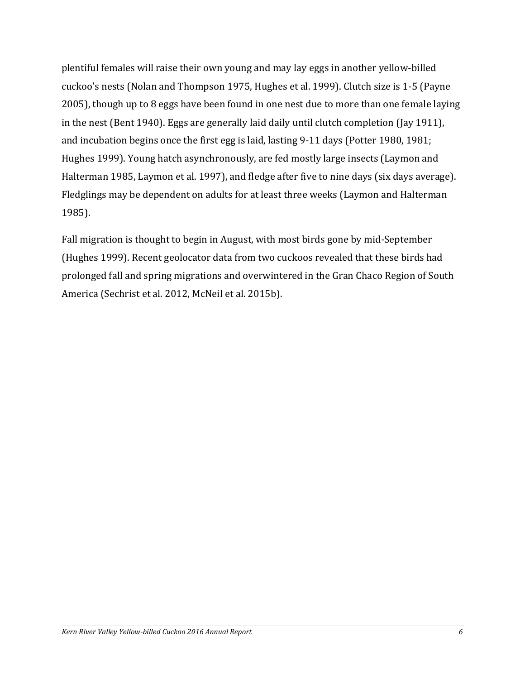plentiful females will raise their own young and may lay eggs in another yellow-billed cuckoo's nests (Nolan and Thompson 1975, Hughes et al. 1999). Clutch size is 1-5 (Payne 2005), though up to 8 eggs have been found in one nest due to more than one female laying in the nest (Bent 1940). Eggs are generally laid daily until clutch completion (Jay 1911), and incubation begins once the first egg is laid, lasting 9-11 days (Potter 1980, 1981; Hughes 1999). Young hatch asynchronously, are fed mostly large insects (Laymon and Halterman 1985, Laymon et al. 1997), and fledge after five to nine days (six days average). Fledglings may be dependent on adults for at least three weeks (Laymon and Halterman 1985).

Fall migration is thought to begin in August, with most birds gone by mid-September (Hughes 1999). Recent geolocator data from two cuckoos revealed that these birds had prolonged fall and spring migrations and overwintered in the Gran Chaco Region of South America (Sechrist et al. 2012, McNeil et al. 2015b).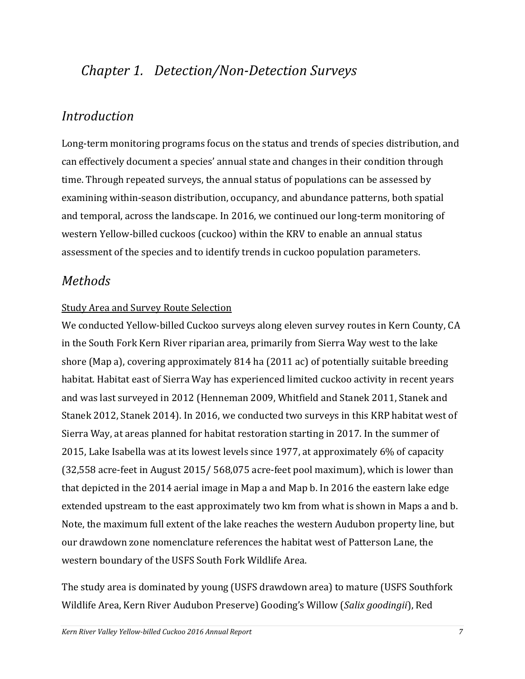# <span id="page-6-0"></span>*Chapter 1. Detection/Non-Detection Surveys*

# <span id="page-6-1"></span>*Introduction*

Long-term monitoring programs focus on the status and trends of species distribution, and can effectively document a species' annual state and changes in their condition through time. Through repeated surveys, the annual status of populations can be assessed by examining within‐season distribution, occupancy, and abundance patterns, both spatial and temporal, across the landscape. In 2016, we continued our long-term monitoring of western Yellow-billed cuckoos (cuckoo) within the KRV to enable an annual status assessment of the species and to identify trends in cuckoo population parameters.

### <span id="page-6-2"></span>*Methods*

### <span id="page-6-3"></span>Study Area and Survey Route Selection

We conducted Yellow-billed Cuckoo surveys along eleven survey routes in Kern County, CA in the South Fork Kern River riparian area, primarily from Sierra Way west to the lake shore (Map a), covering approximately 814 ha (2011 ac) of potentially suitable breeding habitat. Habitat east of Sierra Way has experienced limited cuckoo activity in recent years and was last surveyed in 2012 (Henneman 2009, Whitfield and Stanek 2011, Stanek and Stanek 2012, Stanek 2014). In 2016, we conducted two surveys in this KRP habitat west of Sierra Way, at areas planned for habitat restoration starting in 2017. In the summer of 2015, Lake Isabella was at its lowest levels since 1977, at approximately 6% of capacity (32,558 acre-feet in August 2015/ 568,075 acre-feet pool maximum), which is lower than that depicted in the 2014 aerial image in Map a and Map b. In 2016 the eastern lake edge extended upstream to the east approximately two km from what is shown in Maps a and b. Note, the maximum full extent of the lake reaches the western Audubon property line, but our drawdown zone nomenclature references the habitat west of Patterson Lane, the western boundary of the USFS South Fork Wildlife Area.

The study area is dominated by young (USFS drawdown area) to mature (USFS Southfork Wildlife Area, Kern River Audubon Preserve) Gooding's Willow (*Salix goodingii*), Red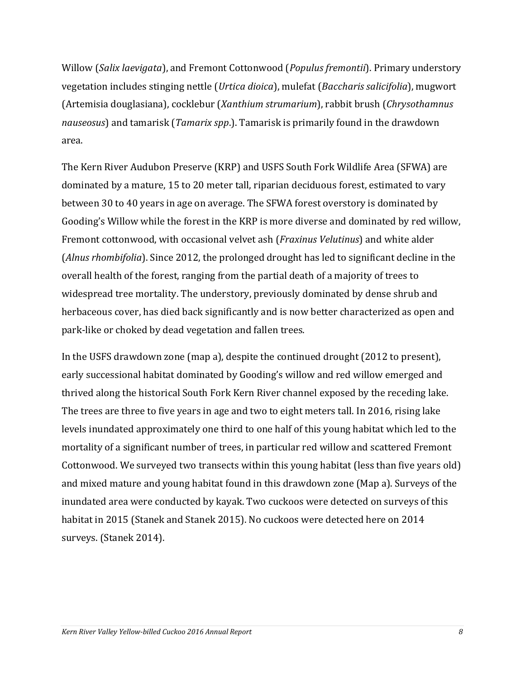Willow (*Salix laevigata*), and Fremont Cottonwood (*Populus fremontii*). Primary understory vegetation includes stinging nettle (*Urtica dioica*), mulefat (*Baccharis salicifolia*), mugwort (Artemisia douglasiana), cocklebur (*Xanthium strumarium*), rabbit brush (*Chrysothamnus nauseosus*) and tamarisk (*Tamarix spp*.). Tamarisk is primarily found in the drawdown area.

The Kern River Audubon Preserve (KRP) and USFS South Fork Wildlife Area (SFWA) are dominated by a mature, 15 to 20 meter tall, riparian deciduous forest, estimated to vary between 30 to 40 years in age on average. The SFWA forest overstory is dominated by Gooding's Willow while the forest in the KRP is more diverse and dominated by red willow, Fremont cottonwood, with occasional velvet ash (*Fraxinus Velutinus*) and white alder (*Alnus rhombifolia*). Since 2012, the prolonged drought has led to significant decline in the overall health of the forest, ranging from the partial death of a majority of trees to widespread tree mortality. The understory, previously dominated by dense shrub and herbaceous cover, has died back significantly and is now better characterized as open and park-like or choked by dead vegetation and fallen trees.

In the USFS drawdown zone (map a), despite the continued drought (2012 to present), early successional habitat dominated by Gooding's willow and red willow emerged and thrived along the historical South Fork Kern River channel exposed by the receding lake. The trees are three to five years in age and two to eight meters tall. In 2016, rising lake levels inundated approximately one third to one half of this young habitat which led to the mortality of a significant number of trees, in particular red willow and scattered Fremont Cottonwood. We surveyed two transects within this young habitat (less than five years old) and mixed mature and young habitat found in this drawdown zone (Map a). Surveys of the inundated area were conducted by kayak. Two cuckoos were detected on surveys of this habitat in 2015 (Stanek and Stanek 2015). No cuckoos were detected here on 2014 surveys. (Stanek 2014).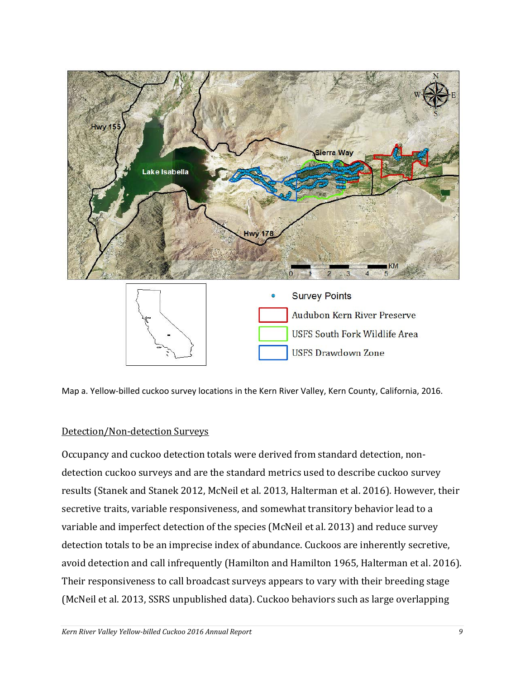

<span id="page-8-1"></span>Map a. Yellow-billed cuckoo survey locations in the Kern River Valley, Kern County, California, 2016.

### <span id="page-8-0"></span>Detection/Non-detection Surveys

Occupancy and cuckoo detection totals were derived from standard detection, nondetection cuckoo surveys and are the standard metrics used to describe cuckoo survey results (Stanek and Stanek 2012, McNeil et al. 2013, Halterman et al. 2016). However, their secretive traits, variable responsiveness, and somewhat transitory behavior lead to a variable and imperfect detection of the species (McNeil et al. 2013) and reduce survey detection totals to be an imprecise index of abundance. Cuckoos are inherently secretive, avoid detection and call infrequently (Hamilton and Hamilton 1965, Halterman et al. 2016). Their responsiveness to call broadcast surveys appears to vary with their breeding stage (McNeil et al. 2013, SSRS unpublished data). Cuckoo behaviors such as large overlapping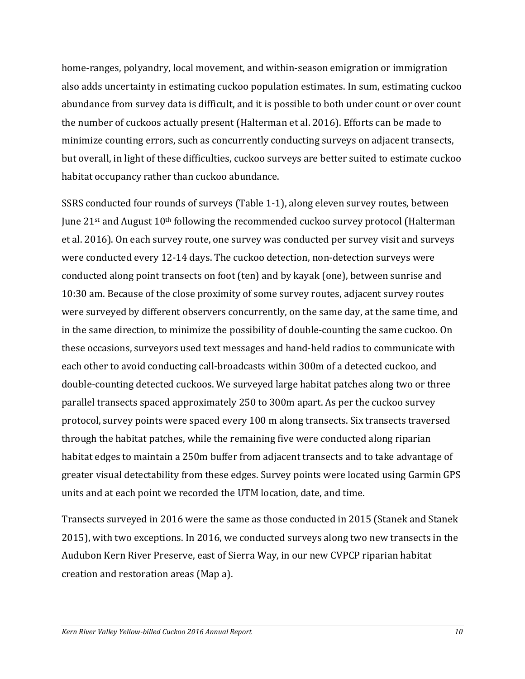home-ranges, polyandry, local movement, and within-season emigration or immigration also adds uncertainty in estimating cuckoo population estimates. In sum, estimating cuckoo abundance from survey data is difficult, and it is possible to both under count or over count the number of cuckoos actually present (Halterman et al. 2016). Efforts can be made to minimize counting errors, such as concurrently conducting surveys on adjacent transects, but overall, in light of these difficulties, cuckoo surveys are better suited to estimate cuckoo habitat occupancy rather than cuckoo abundance.

SSRS conducted four rounds of surveys [\(Table 1-1\)](#page-10-0), along eleven survey routes, between June 21<sup>st</sup> and August 10<sup>th</sup> following the recommended cuckoo survey protocol (Halterman et al. 2016). On each survey route, one survey was conducted per survey visit and surveys were conducted every 12-14 days. The cuckoo detection, non-detection surveys were conducted along point transects on foot (ten) and by kayak (one), between sunrise and 10:30 am. Because of the close proximity of some survey routes, adjacent survey routes were surveyed by different observers concurrently, on the same day, at the same time, and in the same direction, to minimize the possibility of double-counting the same cuckoo. On these occasions, surveyors used text messages and hand-held radios to communicate with each other to avoid conducting call-broadcasts within 300m of a detected cuckoo, and double-counting detected cuckoos. We surveyed large habitat patches along two or three parallel transects spaced approximately 250 to 300m apart. As per the cuckoo survey protocol, survey points were spaced every 100 m along transects. Six transects traversed through the habitat patches, while the remaining five were conducted along riparian habitat edges to maintain a 250m buffer from adjacent transects and to take advantage of greater visual detectability from these edges. Survey points were located using Garmin GPS units and at each point we recorded the UTM location, date, and time.

Transects surveyed in 2016 were the same as those conducted in 2015 (Stanek and Stanek 2015), with two exceptions. In 2016, we conducted surveys along two new transects in the Audubon Kern River Preserve, east of Sierra Way, in our new CVPCP riparian habitat creation and restoration areas (Map a).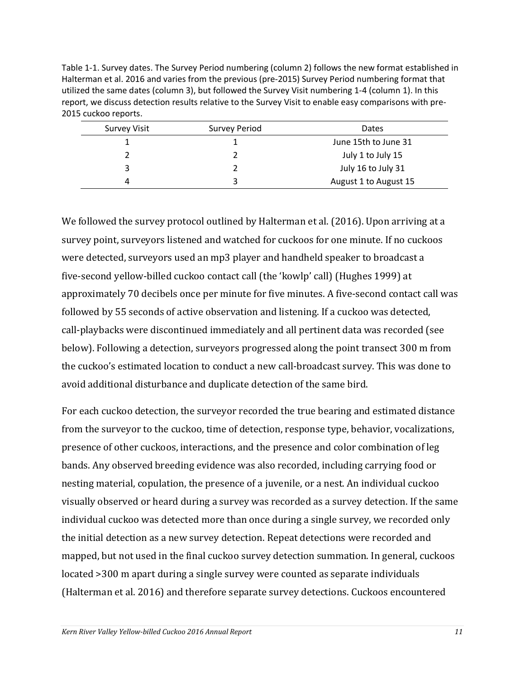<span id="page-10-0"></span>Table 1-1. Survey dates. The Survey Period numbering (column 2) follows the new format established in Halterman et al. 2016 and varies from the previous (pre-2015) Survey Period numbering format that utilized the same dates (column 3), but followed the Survey Visit numbering 1-4 (column 1). In this report, we discuss detection results relative to the Survey Visit to enable easy comparisons with pre-2015 cuckoo reports.

| Survey Visit | Survey Period | Dates                 |
|--------------|---------------|-----------------------|
|              |               | June 15th to June 31  |
|              |               | July 1 to July 15     |
| 3            |               | July 16 to July 31    |
| 4            | 3             | August 1 to August 15 |

We followed the survey protocol outlined by Halterman et al. (2016). Upon arriving at a survey point, surveyors listened and watched for cuckoos for one minute. If no cuckoos were detected, surveyors used an mp3 player and handheld speaker to broadcast a five‐second yellow‐billed cuckoo contact call (the 'kowlp' call) (Hughes 1999) at approximately 70 decibels once per minute for five minutes. A five-second contact call was followed by 55 seconds of active observation and listening. If a cuckoo was detected, call‐playbacks were discontinued immediately and all pertinent data was recorded (see below). Following a detection, surveyors progressed along the point transect 300 m from the cuckoo's estimated location to conduct a new call-broadcast survey. This was done to avoid additional disturbance and duplicate detection of the same bird.

For each cuckoo detection, the surveyor recorded the true bearing and estimated distance from the surveyor to the cuckoo, time of detection, response type, behavior, vocalizations, presence of other cuckoos, interactions, and the presence and color combination of leg bands. Any observed breeding evidence was also recorded, including carrying food or nesting material, copulation, the presence of a juvenile, or a nest. An individual cuckoo visually observed or heard during a survey was recorded as a survey detection. If the same individual cuckoo was detected more than once during a single survey, we recorded only the initial detection as a new survey detection. Repeat detections were recorded and mapped, but not used in the final cuckoo survey detection summation. In general, cuckoos located >300 m apart during a single survey were counted as separate individuals (Halterman et al. 2016) and therefore separate survey detections. Cuckoos encountered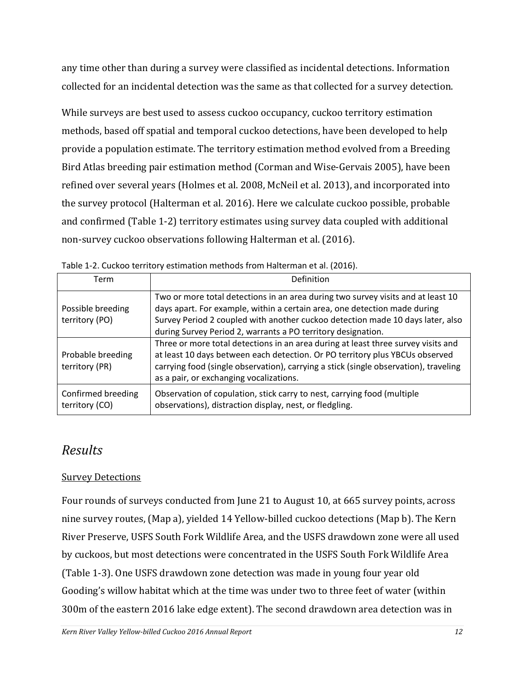any time other than during a survey were classified as incidental detections. Information collected for an incidental detection was the same as that collected for a survey detection.

While surveys are best used to assess cuckoo occupancy, cuckoo territory estimation methods, based off spatial and temporal cuckoo detections, have been developed to help provide a population estimate. The territory estimation method evolved from a Breeding Bird Atlas breeding pair estimation method (Corman and Wise-Gervais 2005), have been refined over several years (Holmes et al. 2008, McNeil et al. 2013), and incorporated into the survey protocol (Halterman et al. 2016). Here we calculate cuckoo possible, probable and confirmed [\(Table 1-2\)](#page-11-2) territory estimates using survey data coupled with additional non-survey cuckoo observations following Halterman et al. (2016).

| Term                                 | Definition                                                                                                                                                                                                                                                                                                      |
|--------------------------------------|-----------------------------------------------------------------------------------------------------------------------------------------------------------------------------------------------------------------------------------------------------------------------------------------------------------------|
| Possible breeding<br>territory (PO)  | Two or more total detections in an area during two survey visits and at least 10<br>days apart. For example, within a certain area, one detection made during<br>Survey Period 2 coupled with another cuckoo detection made 10 days later, also<br>during Survey Period 2, warrants a PO territory designation. |
| Probable breeding<br>territory (PR)  | Three or more total detections in an area during at least three survey visits and<br>at least 10 days between each detection. Or PO territory plus YBCUs observed<br>carrying food (single observation), carrying a stick (single observation), traveling<br>as a pair, or exchanging vocalizations.            |
| Confirmed breeding<br>territory (CO) | Observation of copulation, stick carry to nest, carrying food (multiple<br>observations), distraction display, nest, or fledgling.                                                                                                                                                                              |

<span id="page-11-2"></span>

|  |  |  |  |  | Table 1-2. Cuckoo territory estimation methods from Halterman et al. (2016). |  |
|--|--|--|--|--|------------------------------------------------------------------------------|--|
|--|--|--|--|--|------------------------------------------------------------------------------|--|

# <span id="page-11-0"></span>*Results*

### <span id="page-11-1"></span>Survey Detections

Four rounds of surveys conducted from June 21 to August 10, at 665 survey points, across nine survey routes, (Map a), yielded 14 Yellow-billed cuckoo detections (Map b). The Kern River Preserve, USFS South Fork Wildlife Area, and the USFS drawdown zone were all used by cuckoos, but most detections were concentrated in the USFS South Fork Wildlife Area [\(Table 1-3\)](#page-12-0). One USFS drawdown zone detection was made in young four year old Gooding's willow habitat which at the time was under two to three feet of water (within 300m of the eastern 2016 lake edge extent). The second drawdown area detection was in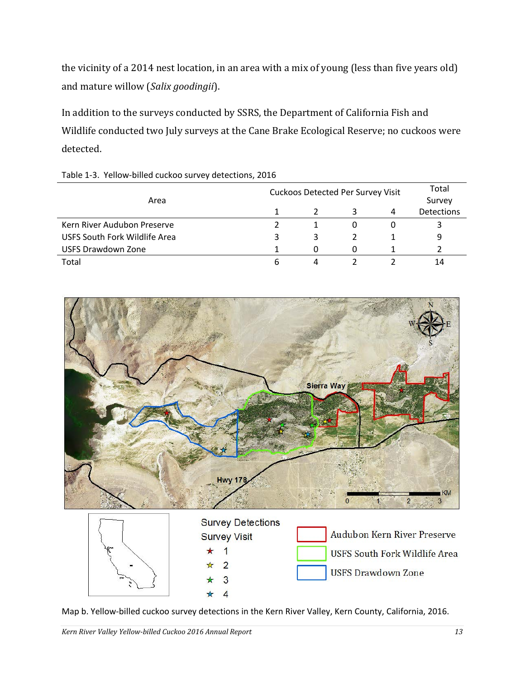the vicinity of a 2014 nest location, in an area with a mix of young (less than five years old) and mature willow (*Salix goodingii*).

In addition to the surveys conducted by SSRS, the Department of California Fish and Wildlife conducted two July surveys at the Cane Brake Ecological Reserve; no cuckoos were detected.

|                               | <b>Cuckoos Detected Per Survey Visit</b> |    |   |   | Total                       |
|-------------------------------|------------------------------------------|----|---|---|-----------------------------|
| Area                          |                                          |    |   | 4 | Survey<br><b>Detections</b> |
|                               |                                          |    |   |   |                             |
| Kern River Audubon Preserve   |                                          |    |   |   | 3                           |
| USFS South Fork Wildlife Area | 3                                        | 3. |   |   | 9                           |
| <b>USFS Drawdown Zone</b>     |                                          |    | O |   |                             |
| Total                         | b                                        | 4  |   |   | 14                          |

<span id="page-12-0"></span>

| Table 1-3. Yellow-billed cuckoo survey detections, 2016 |  |  |
|---------------------------------------------------------|--|--|
|---------------------------------------------------------|--|--|



<span id="page-12-1"></span>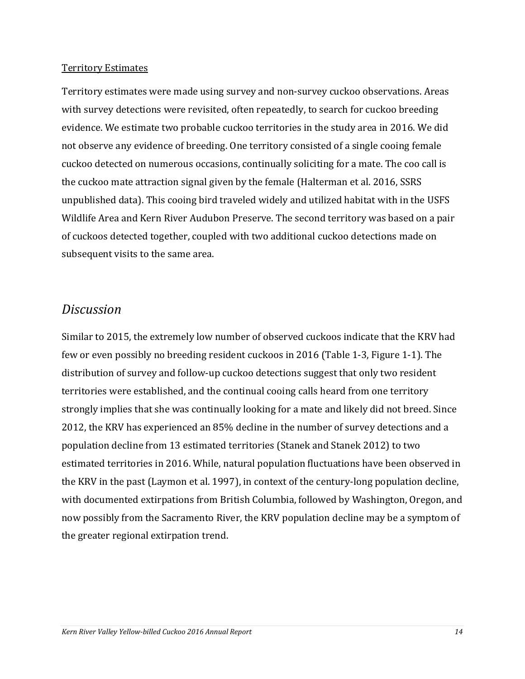#### <span id="page-13-0"></span>Territory Estimates

Territory estimates were made using survey and non-survey cuckoo observations. Areas with survey detections were revisited, often repeatedly, to search for cuckoo breeding evidence. We estimate two probable cuckoo territories in the study area in 2016. We did not observe any evidence of breeding. One territory consisted of a single cooing female cuckoo detected on numerous occasions, continually soliciting for a mate. The coo call is the cuckoo mate attraction signal given by the female (Halterman et al. 2016, SSRS unpublished data). This cooing bird traveled widely and utilized habitat with in the USFS Wildlife Area and Kern River Audubon Preserve. The second territory was based on a pair of cuckoos detected together, coupled with two additional cuckoo detections made on subsequent visits to the same area.

### <span id="page-13-1"></span>*Discussion*

Similar to 2015, the extremely low number of observed cuckoos indicate that the KRV had few or even possibly no breeding resident cuckoos in 2016 [\(Table 1-3,](#page-12-0) Figure 1-1). The distribution of survey and follow-up cuckoo detections suggest that only two resident territories were established, and the continual cooing calls heard from one territory strongly implies that she was continually looking for a mate and likely did not breed. Since 2012, the KRV has experienced an 85% decline in the number of survey detections and a population decline from 13 estimated territories (Stanek and Stanek 2012) to two estimated territories in 2016. While, natural population fluctuations have been observed in the KRV in the past (Laymon et al. 1997), in context of the century-long population decline, with documented extirpations from British Columbia, followed by Washington, Oregon, and now possibly from the Sacramento River, the KRV population decline may be a symptom of the greater regional extirpation trend.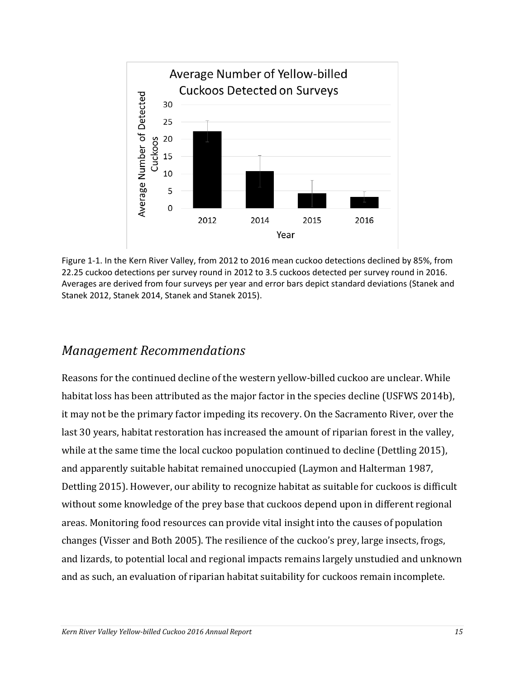

<span id="page-14-1"></span>Figure 1-1. In the Kern River Valley, from 2012 to 2016 mean cuckoo detections declined by 85%, from 22.25 cuckoo detections per survey round in 2012 to 3.5 cuckoos detected per survey round in 2016. Averages are derived from four surveys per year and error bars depict standard deviations (Stanek and Stanek 2012, Stanek 2014, Stanek and Stanek 2015).

### <span id="page-14-0"></span>*Management Recommendations*

Reasons for the continued decline of the western yellow-billed cuckoo are unclear. While habitat loss has been attributed as the major factor in the species decline (USFWS 2014b), it may not be the primary factor impeding its recovery. On the Sacramento River, over the last 30 years, habitat restoration has increased the amount of riparian forest in the valley, while at the same time the local cuckoo population continued to decline (Dettling 2015), and apparently suitable habitat remained unoccupied (Laymon and Halterman 1987, Dettling 2015). However, our ability to recognize habitat as suitable for cuckoos is difficult without some knowledge of the prey base that cuckoos depend upon in different regional areas. Monitoring food resources can provide vital insight into the causes of population changes (Visser and Both 2005). The resilience of the cuckoo's prey, large insects, frogs, and lizards, to potential local and regional impacts remains largely unstudied and unknown and as such, an evaluation of riparian habitat suitability for cuckoos remain incomplete.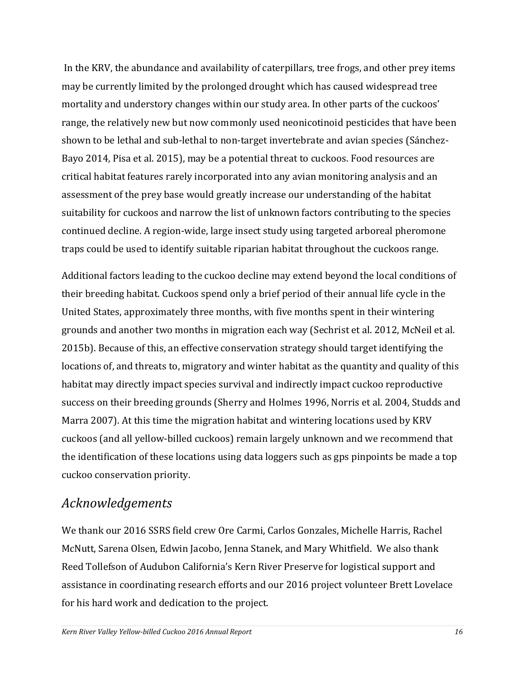In the KRV, the abundance and availability of caterpillars, tree frogs, and other prey items may be currently limited by the prolonged drought which has caused widespread tree mortality and understory changes within our study area. In other parts of the cuckoos' range, the relatively new but now commonly used neonicotinoid pesticides that have been shown to be lethal and sub-lethal to non-target invertebrate and avian species (Sánchez-Bayo 2014, Pisa et al. 2015), may be a potential threat to cuckoos. Food resources are critical habitat features rarely incorporated into any avian monitoring analysis and an assessment of the prey base would greatly increase our understanding of the habitat suitability for cuckoos and narrow the list of unknown factors contributing to the species continued decline. A region-wide, large insect study using targeted arboreal pheromone traps could be used to identify suitable riparian habitat throughout the cuckoos range.

Additional factors leading to the cuckoo decline may extend beyond the local conditions of their breeding habitat. Cuckoos spend only a brief period of their annual life cycle in the United States, approximately three months, with five months spent in their wintering grounds and another two months in migration each way (Sechrist et al. 2012, McNeil et al. 2015b). Because of this, an effective conservation strategy should target identifying the locations of, and threats to, migratory and winter habitat as the quantity and quality of this habitat may directly impact species survival and indirectly impact cuckoo reproductive success on their breeding grounds (Sherry and Holmes 1996, Norris et al. 2004, Studds and Marra 2007). At this time the migration habitat and wintering locations used by KRV cuckoos (and all yellow-billed cuckoos) remain largely unknown and we recommend that the identification of these locations using data loggers such as gps pinpoints be made a top cuckoo conservation priority.

## <span id="page-15-0"></span>*Acknowledgements*

We thank our 2016 SSRS field crew Ore Carmi, Carlos Gonzales, Michelle Harris, Rachel McNutt, Sarena Olsen, Edwin Jacobo, Jenna Stanek, and Mary Whitfield. We also thank Reed Tollefson of Audubon California's Kern River Preserve for logistical support and assistance in coordinating research efforts and our 2016 project volunteer Brett Lovelace for his hard work and dedication to the project.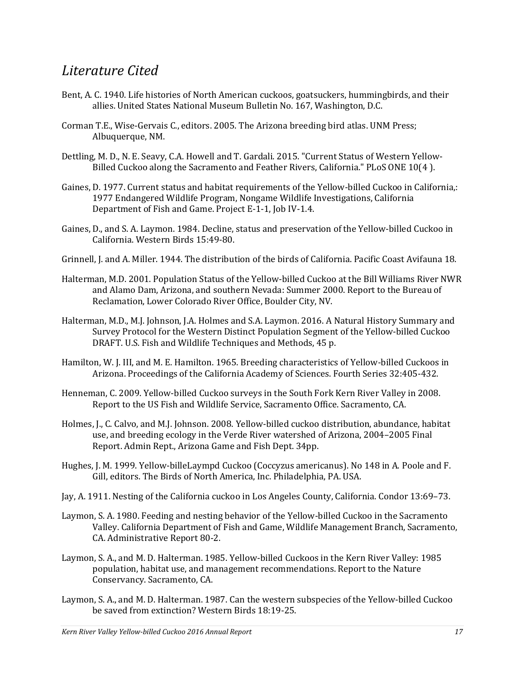# <span id="page-16-0"></span>*Literature Cited*

- Bent, A. C. 1940. Life histories of North American cuckoos, goatsuckers, hummingbirds, and their allies. United States National Museum Bulletin No. 167, Washington, D.C.
- Corman T.E., Wise-Gervais C., editors. 2005. The Arizona breeding bird atlas. UNM Press; Albuquerque, NM.
- Dettling, M. D., N. E. Seavy, C.A. Howell and T. Gardali. 2015. "Current Status of Western Yellow-Billed Cuckoo along the Sacramento and Feather Rivers, California." PLoS ONE 10(4 ).
- Gaines, D. 1977. Current status and habitat requirements of the Yellow-billed Cuckoo in California,: 1977 Endangered Wildlife Program, Nongame Wildlife Investigations, California Department of Fish and Game. Project E-1-1, Job IV-1.4.
- Gaines, D., and S. A. Laymon. 1984. Decline, status and preservation of the Yellow-billed Cuckoo in California. Western Birds 15:49-80.
- Grinnell, J. and A. Miller. 1944. The distribution of the birds of California. Pacific Coast Avifauna 18.
- Halterman, M.D. 2001. Population Status of the Yellow-billed Cuckoo at the Bill Williams River NWR and Alamo Dam, Arizona, and southern Nevada: Summer 2000. Report to the Bureau of Reclamation, Lower Colorado River Office, Boulder City, NV.
- Halterman, M.D., M.J. Johnson, J.A. Holmes and S.A. Laymon. 2016. A Natural History Summary and Survey Protocol for the Western Distinct Population Segment of the Yellow-billed Cuckoo DRAFT. U.S. Fish and Wildlife Techniques and Methods, 45 p.
- Hamilton, W. J. III, and M. E. Hamilton. 1965. Breeding characteristics of Yellow-billed Cuckoos in Arizona. Proceedings of the California Academy of Sciences. Fourth Series 32:405-432.
- Henneman, C. 2009. Yellow-billed Cuckoo surveys in the South Fork Kern River Valley in 2008. Report to the US Fish and Wildlife Service, Sacramento Office. Sacramento, CA.
- Holmes, J., C. Calvo, and M.J. Johnson. 2008. Yellow-billed cuckoo distribution, abundance, habitat use, and breeding ecology in the Verde River watershed of Arizona, 2004–2005 Final Report. Admin Rept., Arizona Game and Fish Dept. 34pp.
- Hughes, J. M. 1999. Yellow-billeLaympd Cuckoo (Coccyzus americanus). No 148 in A. Poole and F. Gill, editors. The Birds of North America, Inc. Philadelphia, PA. USA.
- Jay, A. 1911. Nesting of the California cuckoo in Los Angeles County, California. Condor 13:69–73.
- Laymon, S. A. 1980. Feeding and nesting behavior of the Yellow-billed Cuckoo in the Sacramento Valley. California Department of Fish and Game, Wildlife Management Branch, Sacramento, CA. Administrative Report 80-2.
- Laymon, S. A., and M. D. Halterman. 1985. Yellow-billed Cuckoos in the Kern River Valley: 1985 population, habitat use, and management recommendations. Report to the Nature Conservancy. Sacramento, CA.
- Laymon, S. A., and M. D. Halterman. 1987. Can the western subspecies of the Yellow-billed Cuckoo be saved from extinction? Western Birds 18:19-25.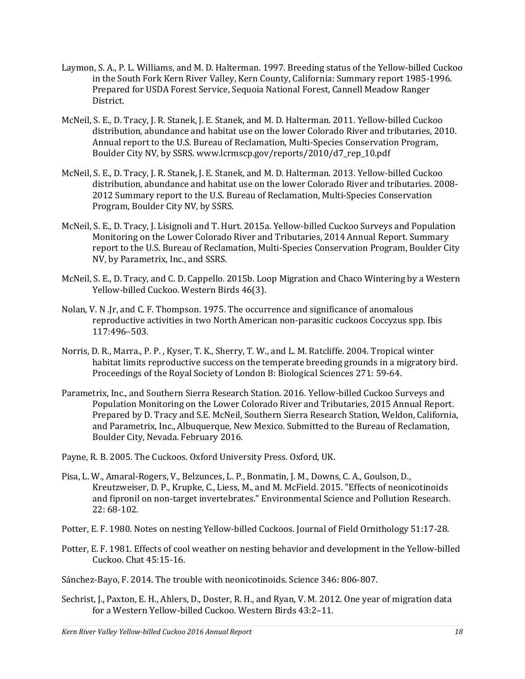- Laymon, S. A., P. L. Williams, and M. D. Halterman. 1997. Breeding status of the Yellow-billed Cuckoo in the South Fork Kern River Valley, Kern County, California: Summary report 1985-1996. Prepared for USDA Forest Service, Sequoia National Forest, Cannell Meadow Ranger District.
- McNeil, S. E., D. Tracy, J. R. Stanek, J. E. Stanek, and M. D. Halterman. 2011. Yellow-billed Cuckoo distribution, abundance and habitat use on the lower Colorado River and tributaries, 2010. Annual report to the U.S. Bureau of Reclamation, Multi-Species Conservation Program, Boulder City NV, by SSRS[. www.lcrmscp.gov/reports/2010/d7\\_rep\\_10.pdf](http://www.lcrmscp.gov/reports/2010/d7_rep_10.pdf)
- McNeil, S. E., D. Tracy, J. R. Stanek, J. E. Stanek, and M. D. Halterman. 2013. Yellow-billed Cuckoo distribution, abundance and habitat use on the lower Colorado River and tributaries. 2008- 2012 Summary report to the U.S. Bureau of Reclamation, Multi-Species Conservation Program, Boulder City NV, by SSRS.
- McNeil, S. E., D. Tracy, J. Lisignoli and T. Hurt. 2015a. Yellow-billed Cuckoo Surveys and Population Monitoring on the Lower Colorado River and Tributaries, 2014 Annual Report. Summary report to the U.S. Bureau of Reclamation, Multi-Species Conservation Program, Boulder City NV, by Parametrix, Inc., and SSRS.
- McNeil, S. E., D. Tracy, and C. D. Cappello. 2015b. Loop Migration and Chaco Wintering by a Western Yellow-billed Cuckoo. Western Birds 46(3).
- Nolan, V. N .Jr, and C. F. Thompson. 1975. The occurrence and significance of anomalous reproductive activities in two North American non-parasitic cuckoos Coccyzus spp. Ibis 117:496–503.
- Norris, D. R., Marra., P. P. , Kyser, T. K., Sherry, T. W., and L. M. Ratcliffe. 2004. Tropical winter habitat limits reproductive success on the temperate breeding grounds in a migratory bird. Proceedings of the Royal Society of London B: Biological Sciences 271: 59-64.
- Parametrix, Inc., and Southern Sierra Research Station. 2016. Yellow-billed Cuckoo Surveys and Population Monitoring on the Lower Colorado River and Tributaries, 2015 Annual Report. Prepared by D. Tracy and S.E. McNeil, Southern Sierra Research Station, Weldon, California, and Parametrix, Inc., Albuquerque, New Mexico. Submitted to the Bureau of Reclamation, Boulder City, Nevada. February 2016.
- Payne, R. B. 2005. The Cuckoos. Oxford University Press. Oxford, UK.
- Pisa, L. W., Amaral-Rogers, V., Belzunces, L. P., Bonmatin, J. M., Downs, C. A., Goulson, D., Kreutzweiser, D. P., Krupke, C., Liess, M., and M. McField. 2015. "Effects of neonicotinoids and fipronil on non-target invertebrates." Environmental Science and Pollution Research. 22: 68-102.
- Potter, E. F. 1980. Notes on nesting Yellow-billed Cuckoos. Journal of Field Ornithology 51:17-28.
- Potter, E. F. 1981. Effects of cool weather on nesting behavior and development in the Yellow-billed Cuckoo. Chat 45:15-16.
- Sánchez-Bayo, F. 2014. The trouble with neonicotinoids. Science 346: 806-807.
- Sechrist, J., Paxton, E. H., Ahlers, D., Doster, R. H., and Ryan, V. M. 2012. One year of migration data for a Western Yellow-billed Cuckoo. Western Birds 43:2–11.